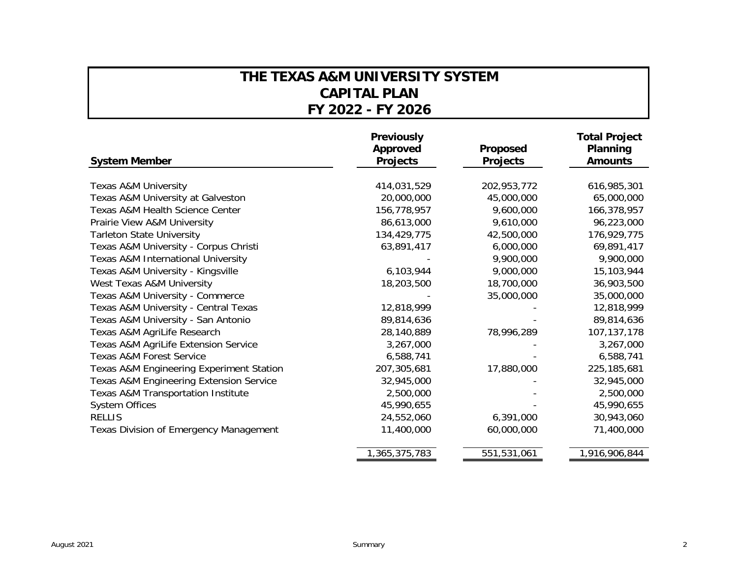## **THE TEXAS A&M UNIVERSITY SYSTEM CAPITAL PLANFY 2022 - FY 2026**

| <b>System Member</b>                          | <b>Previously</b><br>Approved<br><b>Projects</b> | Proposed<br><b>Projects</b> | <b>Total Project</b><br>Planning<br><b>Amounts</b> |
|-----------------------------------------------|--------------------------------------------------|-----------------------------|----------------------------------------------------|
|                                               |                                                  |                             |                                                    |
| <b>Texas A&amp;M University</b>               | 414,031,529                                      | 202,953,772                 | 616,985,301                                        |
| Texas A&M University at Galveston             | 20,000,000                                       | 45,000,000                  | 65,000,000                                         |
| Texas A&M Health Science Center               | 156,778,957                                      | 9,600,000                   | 166,378,957                                        |
| Prairie View A&M University                   | 86,613,000                                       | 9,610,000                   | 96,223,000                                         |
| <b>Tarleton State University</b>              | 134,429,775                                      | 42,500,000                  | 176,929,775                                        |
| Texas A&M University - Corpus Christi         | 63,891,417                                       | 6,000,000                   | 69,891,417                                         |
| Texas A&M International University            |                                                  | 9,900,000                   | 9,900,000                                          |
| Texas A&M University - Kingsville             | 6,103,944                                        | 9,000,000                   | 15,103,944                                         |
| West Texas A&M University                     | 18,203,500                                       | 18,700,000                  | 36,903,500                                         |
| Texas A&M University - Commerce               |                                                  | 35,000,000                  | 35,000,000                                         |
| Texas A&M University - Central Texas          | 12,818,999                                       |                             | 12,818,999                                         |
| Texas A&M University - San Antonio            | 89,814,636                                       |                             | 89,814,636                                         |
| Texas A&M AgriLife Research                   | 28,140,889                                       | 78,996,289                  | 107,137,178                                        |
| Texas A&M AgriLife Extension Service          | 3,267,000                                        |                             | 3,267,000                                          |
| Texas A&M Forest Service                      | 6,588,741                                        |                             | 6,588,741                                          |
| Texas A&M Engineering Experiment Station      | 207,305,681                                      | 17,880,000                  | 225,185,681                                        |
| Texas A&M Engineering Extension Service       | 32,945,000                                       |                             | 32,945,000                                         |
| <b>Texas A&amp;M Transportation Institute</b> | 2,500,000                                        |                             | 2,500,000                                          |
| <b>System Offices</b>                         | 45,990,655                                       |                             | 45,990,655                                         |
| <b>RELLIS</b>                                 | 24,552,060                                       | 6,391,000                   | 30,943,060                                         |
| Texas Division of Emergency Management        | 11,400,000                                       | 60,000,000                  | 71,400,000                                         |
|                                               | 1,365,375,783                                    | 551,531,061                 | 1,916,906,844                                      |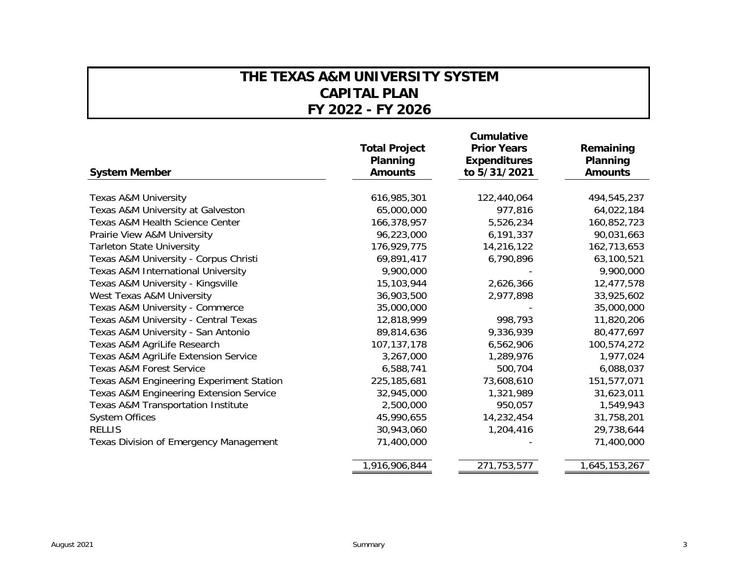## **THE TEXAS A&M UNIVERSITY SYSTEM CAPITAL PLANFY 2022 - FY 2026**

| <b>System Member</b>                                | <b>Total Project</b><br>Planning<br><b>Amounts</b> | Cumulative<br><b>Prior Years</b><br><b>Expenditures</b><br>to 5/31/2021 | Remaining<br>Planning<br><b>Amounts</b> |
|-----------------------------------------------------|----------------------------------------------------|-------------------------------------------------------------------------|-----------------------------------------|
| <b>Texas A&amp;M University</b>                     | 616,985,301                                        | 122,440,064                                                             | 494,545,237                             |
| Texas A&M University at Galveston                   | 65,000,000                                         | 977,816                                                                 | 64,022,184                              |
| <b>Texas A&amp;M Health Science Center</b>          | 166,378,957                                        | 5,526,234                                                               | 160,852,723                             |
| Prairie View A&M University                         | 96,223,000                                         | 6,191,337                                                               | 90,031,663                              |
| <b>Tarleton State University</b>                    | 176,929,775                                        | 14,216,122                                                              | 162,713,653                             |
| Texas A&M University - Corpus Christi               | 69,891,417                                         | 6,790,896                                                               | 63,100,521                              |
| Texas A&M International University                  | 9,900,000                                          |                                                                         | 9,900,000                               |
| Texas A&M University - Kingsville                   | 15,103,944                                         | 2,626,366                                                               | 12,477,578                              |
| West Texas A&M University                           | 36,903,500                                         | 2,977,898                                                               | 33,925,602                              |
| Texas A&M University - Commerce                     | 35,000,000                                         |                                                                         | 35,000,000                              |
| Texas A&M University - Central Texas                | 12,818,999                                         | 998,793                                                                 | 11,820,206                              |
| Texas A&M University - San Antonio                  | 89,814,636                                         | 9,336,939                                                               | 80,477,697                              |
| Texas A&M AgriLife Research                         | 107, 137, 178                                      | 6,562,906                                                               | 100,574,272                             |
| Texas A&M AgriLife Extension Service                | 3,267,000                                          | 1,289,976                                                               | 1,977,024                               |
| Texas A&M Forest Service                            | 6,588,741                                          | 500,704                                                                 | 6,088,037                               |
| <b>Texas A&amp;M Engineering Experiment Station</b> | 225, 185, 681                                      | 73,608,610                                                              | 151,577,071                             |
| <b>Texas A&amp;M Engineering Extension Service</b>  | 32,945,000                                         | 1,321,989                                                               | 31,623,011                              |
| <b>Texas A&amp;M Transportation Institute</b>       | 2,500,000                                          | 950,057                                                                 | 1,549,943                               |
| <b>System Offices</b>                               | 45,990,655                                         | 14,232,454                                                              | 31,758,201                              |
| <b>RELLIS</b>                                       | 30,943,060                                         | 1,204,416                                                               | 29,738,644                              |
| <b>Texas Division of Emergency Management</b>       | 71,400,000                                         |                                                                         | 71,400,000                              |
|                                                     | 1,916,906,844                                      | 271,753,577                                                             | 1,645,153,267                           |